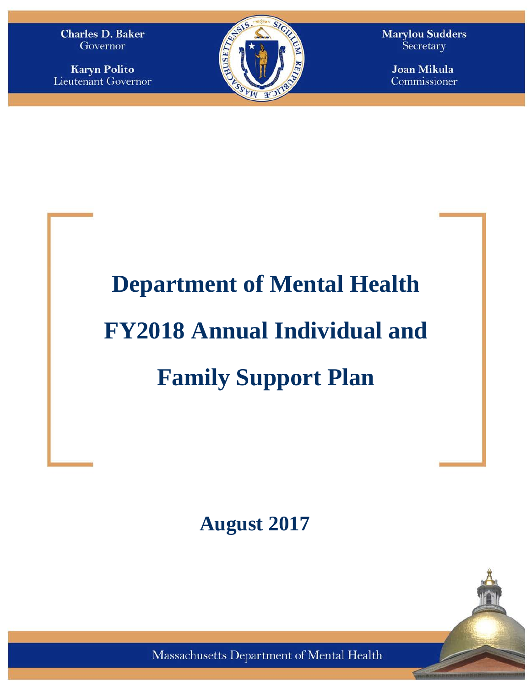**Charles D. Baker** Governor

**Karyn Polito Lieutenant Governor** 



**Marylou Sudders** Secretary

> **Joan Mikula** Commissioner

# **Department of Mental Health FY2018 Annual Individual and Family Support Plan**

**August 2017**

Massachusetts Department of Mental Health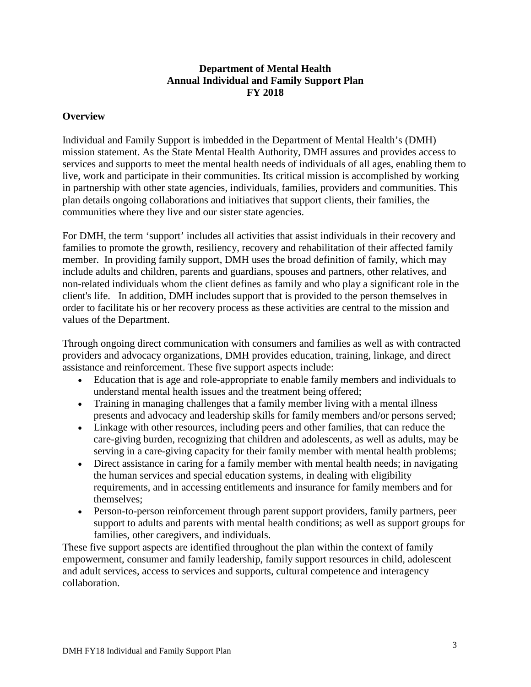## **Department of Mental Health Annual Individual and Family Support Plan FY 2018**

#### **Overview**

Individual and Family Support is imbedded in the Department of Mental Health's (DMH) mission statement. As the State Mental Health Authority, DMH assures and provides access to services and supports to meet the mental health needs of individuals of all ages, enabling them to live, work and participate in their communities. Its critical mission is accomplished by working in partnership with other state agencies, individuals, families, providers and communities. This plan details ongoing collaborations and initiatives that support clients, their families, the communities where they live and our sister state agencies.

For DMH, the term 'support' includes all activities that assist individuals in their recovery and families to promote the growth, resiliency, recovery and rehabilitation of their affected family member. In providing family support, DMH uses the broad definition of family, which may include adults and children, parents and guardians, spouses and partners, other relatives, and non-related individuals whom the client defines as family and who play a significant role in the client's life. In addition, DMH includes support that is provided to the person themselves in order to facilitate his or her recovery process as these activities are central to the mission and values of the Department.

Through ongoing direct communication with consumers and families as well as with contracted providers and advocacy organizations, DMH provides education, training, linkage, and direct assistance and reinforcement. These five support aspects include:

- Education that is age and role-appropriate to enable family members and individuals to understand mental health issues and the treatment being offered;
- Training in managing challenges that a family member living with a mental illness presents and advocacy and leadership skills for family members and/or persons served;
- Linkage with other resources, including peers and other families, that can reduce the care-giving burden, recognizing that children and adolescents, as well as adults, may be serving in a care-giving capacity for their family member with mental health problems;
- Direct assistance in caring for a family member with mental health needs; in navigating the human services and special education systems, in dealing with eligibility requirements, and in accessing entitlements and insurance for family members and for themselves;
- Person-to-person reinforcement through parent support providers, family partners, peer support to adults and parents with mental health conditions; as well as support groups for families, other caregivers, and individuals.

These five support aspects are identified throughout the plan within the context of family empowerment, consumer and family leadership, family support resources in child, adolescent and adult services, access to services and supports, cultural competence and interagency collaboration.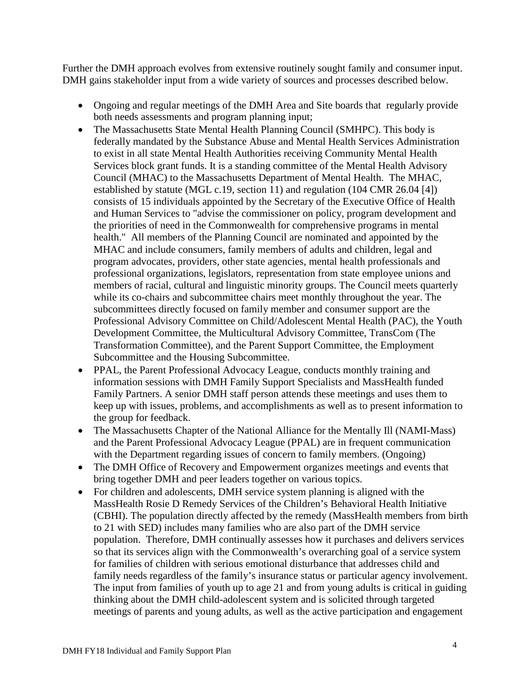Further the DMH approach evolves from extensive routinely sought family and consumer input. DMH gains stakeholder input from a wide variety of sources and processes described below.

- Ongoing and regular meetings of the DMH Area and Site boards that regularly provide both needs assessments and program planning input;
- The Massachusetts State Mental Health Planning Council (SMHPC). This body is federally mandated by the Substance Abuse and Mental Health Services Administration to exist in all state Mental Health Authorities receiving Community Mental Health Services block grant funds. It is a standing committee of the Mental Health Advisory Council (MHAC) to the Massachusetts Department of Mental Health. The MHAC, established by statute (MGL c.19, section 11) and regulation (104 CMR 26.04 [4]) consists of 15 individuals appointed by the Secretary of the Executive Office of Health and Human Services to "advise the commissioner on policy, program development and the priorities of need in the Commonwealth for comprehensive programs in mental health." All members of the Planning Council are nominated and appointed by the MHAC and include consumers, family members of adults and children, legal and program advocates, providers, other state agencies, mental health professionals and professional organizations, legislators, representation from state employee unions and members of racial, cultural and linguistic minority groups. The Council meets quarterly while its co-chairs and subcommittee chairs meet monthly throughout the year. The subcommittees directly focused on family member and consumer support are the Professional Advisory Committee on Child/Adolescent Mental Health (PAC), the Youth Development Committee, the Multicultural Advisory Committee, TransCom (The Transformation Committee), and the Parent Support Committee, the Employment Subcommittee and the Housing Subcommittee.
- PPAL, the Parent Professional Advocacy League, conducts monthly training and information sessions with DMH Family Support Specialists and MassHealth funded Family Partners. A senior DMH staff person attends these meetings and uses them to keep up with issues, problems, and accomplishments as well as to present information to the group for feedback.
- The Massachusetts Chapter of the National Alliance for the Mentally Ill (NAMI-Mass) and the Parent Professional Advocacy League (PPAL) are in frequent communication with the Department regarding issues of concern to family members. (Ongoing)
- The DMH Office of Recovery and Empowerment organizes meetings and events that bring together DMH and peer leaders together on various topics.
- For children and adolescents, DMH service system planning is aligned with the MassHealth Rosie D Remedy Services of the Children's Behavioral Health Initiative (CBHI). The population directly affected by the remedy (MassHealth members from birth to 21 with SED) includes many families who are also part of the DMH service population. Therefore, DMH continually assesses how it purchases and delivers services so that its services align with the Commonwealth's overarching goal of a service system for families of children with serious emotional disturbance that addresses child and family needs regardless of the family's insurance status or particular agency involvement. The input from families of youth up to age 21 and from young adults is critical in guiding thinking about the DMH child-adolescent system and is solicited through targeted meetings of parents and young adults, as well as the active participation and engagement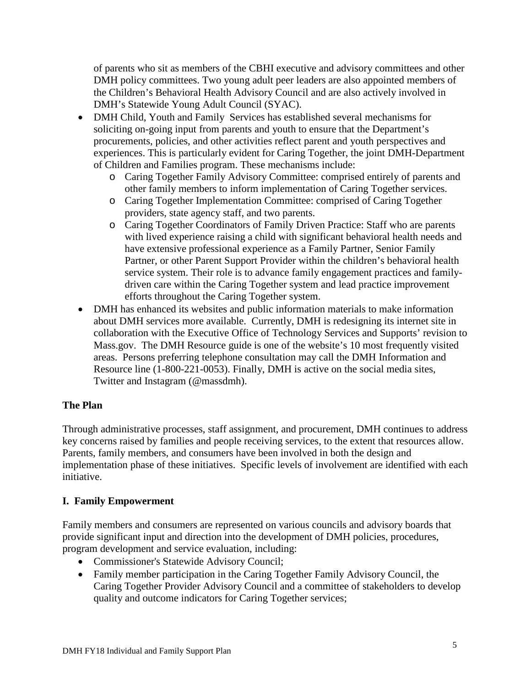of parents who sit as members of the CBHI executive and advisory committees and other DMH policy committees. Two young adult peer leaders are also appointed members of the Children's Behavioral Health Advisory Council and are also actively involved in DMH's Statewide Young Adult Council (SYAC).

- DMH Child, Youth and Family Services has established several mechanisms for soliciting on-going input from parents and youth to ensure that the Department's procurements, policies, and other activities reflect parent and youth perspectives and experiences. This is particularly evident for Caring Together, the joint DMH-Department of Children and Families program. These mechanisms include:
	- o Caring Together Family Advisory Committee: comprised entirely of parents and other family members to inform implementation of Caring Together services.
	- o Caring Together Implementation Committee: comprised of Caring Together providers, state agency staff, and two parents.
	- o Caring Together Coordinators of Family Driven Practice: Staff who are parents with lived experience raising a child with significant behavioral health needs and have extensive professional experience as a Family Partner, Senior Family Partner, or other Parent Support Provider within the children's behavioral health service system. Their role is to advance family engagement practices and familydriven care within the Caring Together system and lead practice improvement efforts throughout the Caring Together system.
- DMH has enhanced its websites and public information materials to make information about DMH services more available. Currently, DMH is redesigning its internet site in collaboration with the Executive Office of Technology Services and Supports' revision to Mass.gov. The DMH Resource guide is one of the website's 10 most frequently visited areas. Persons preferring telephone consultation may call the DMH Information and Resource line (1-800-221-0053). Finally, DMH is active on the social media sites, Twitter and Instagram (@massdmh).

# **The Plan**

Through administrative processes, staff assignment, and procurement, DMH continues to address key concerns raised by families and people receiving services, to the extent that resources allow. Parents, family members, and consumers have been involved in both the design and implementation phase of these initiatives. Specific levels of involvement are identified with each initiative.

# **I. Family Empowerment**

Family members and consumers are represented on various councils and advisory boards that provide significant input and direction into the development of DMH policies, procedures, program development and service evaluation, including:

- Commissioner's Statewide Advisory Council;
- Family member participation in the Caring Together Family Advisory Council, the Caring Together Provider Advisory Council and a committee of stakeholders to develop quality and outcome indicators for Caring Together services;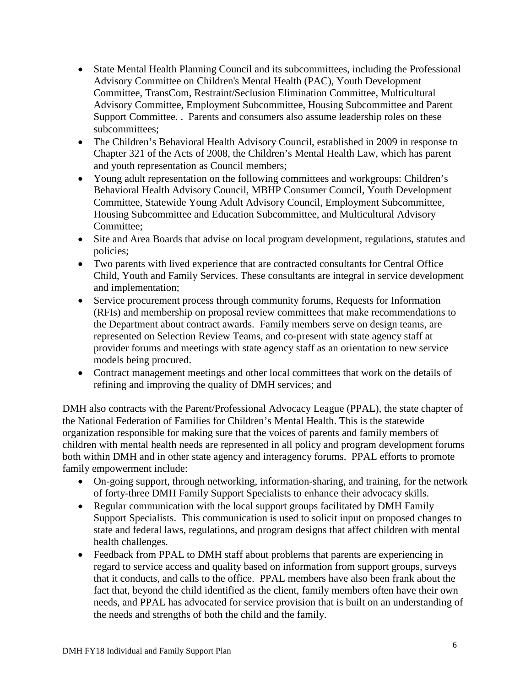- State Mental Health Planning Council and its subcommittees, including the Professional Advisory Committee on Children's Mental Health (PAC), Youth Development Committee, TransCom, Restraint/Seclusion Elimination Committee, Multicultural Advisory Committee, Employment Subcommittee, Housing Subcommittee and Parent Support Committee. . Parents and consumers also assume leadership roles on these subcommittees;
- The Children's Behavioral Health Advisory Council, established in 2009 in response to Chapter 321 of the Acts of 2008, the Children's Mental Health Law, which has parent and youth representation as Council members;
- Young adult representation on the following committees and workgroups: Children's Behavioral Health Advisory Council, MBHP Consumer Council, Youth Development Committee, Statewide Young Adult Advisory Council, Employment Subcommittee, Housing Subcommittee and Education Subcommittee, and Multicultural Advisory Committee;
- Site and Area Boards that advise on local program development, regulations, statutes and policies;
- Two parents with lived experience that are contracted consultants for Central Office Child, Youth and Family Services. These consultants are integral in service development and implementation;
- Service procurement process through community forums, Requests for Information (RFIs) and membership on proposal review committees that make recommendations to the Department about contract awards. Family members serve on design teams, are represented on Selection Review Teams, and co-present with state agency staff at provider forums and meetings with state agency staff as an orientation to new service models being procured.
- Contract management meetings and other local committees that work on the details of refining and improving the quality of DMH services; and

DMH also contracts with the Parent/Professional Advocacy League (PPAL), the state chapter of the National Federation of Families for Children's Mental Health. This is the statewide organization responsible for making sure that the voices of parents and family members of children with mental health needs are represented in all policy and program development forums both within DMH and in other state agency and interagency forums. PPAL efforts to promote family empowerment include:

- On-going support, through networking, information-sharing, and training, for the network of forty-three DMH Family Support Specialists to enhance their advocacy skills.
- Regular communication with the local support groups facilitated by DMH Family Support Specialists. This communication is used to solicit input on proposed changes to state and federal laws, regulations, and program designs that affect children with mental health challenges.
- Feedback from PPAL to DMH staff about problems that parents are experiencing in regard to service access and quality based on information from support groups, surveys that it conducts, and calls to the office. PPAL members have also been frank about the fact that, beyond the child identified as the client, family members often have their own needs, and PPAL has advocated for service provision that is built on an understanding of the needs and strengths of both the child and the family.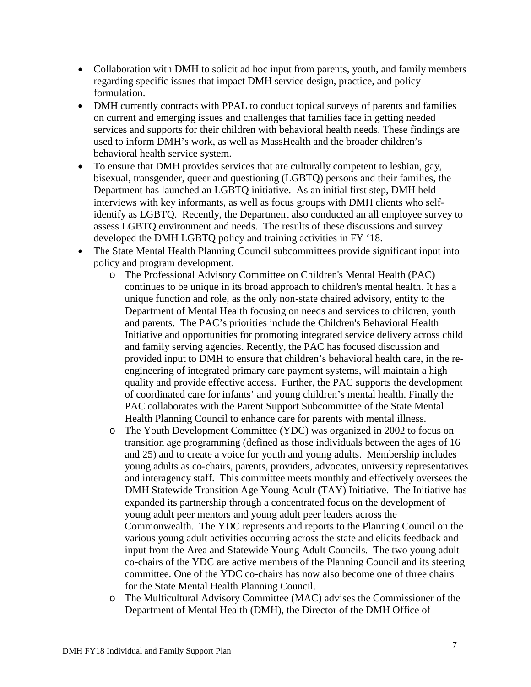- Collaboration with DMH to solicit ad hoc input from parents, youth, and family members regarding specific issues that impact DMH service design, practice, and policy formulation.
- DMH currently contracts with PPAL to conduct topical surveys of parents and families on current and emerging issues and challenges that families face in getting needed services and supports for their children with behavioral health needs. These findings are used to inform DMH's work, as well as MassHealth and the broader children's behavioral health service system.
- To ensure that DMH provides services that are culturally competent to lesbian, gay, bisexual, transgender, queer and questioning (LGBTQ) persons and their families, the Department has launched an LGBTQ initiative. As an initial first step, DMH held interviews with key informants, as well as focus groups with DMH clients who selfidentify as LGBTQ. Recently, the Department also conducted an all employee survey to assess LGBTQ environment and needs. The results of these discussions and survey developed the DMH LGBTQ policy and training activities in FY '18.
- The State Mental Health Planning Council subcommittees provide significant input into policy and program development.
	- o The Professional Advisory Committee on Children's Mental Health (PAC) continues to be unique in its broad approach to children's mental health. It has a unique function and role, as the only non-state chaired advisory, entity to the Department of Mental Health focusing on needs and services to children, youth and parents. The PAC's priorities include the Children's Behavioral Health Initiative and opportunities for promoting integrated service delivery across child and family serving agencies. Recently, the PAC has focused discussion and provided input to DMH to ensure that children's behavioral health care, in the reengineering of integrated primary care payment systems, will maintain a high quality and provide effective access. Further, the PAC supports the development of coordinated care for infants' and young children's mental health. Finally the PAC collaborates with the Parent Support Subcommittee of the State Mental Health Planning Council to enhance care for parents with mental illness.
	- o The Youth Development Committee (YDC) was organized in 2002 to focus on transition age programming (defined as those individuals between the ages of 16 and 25) and to create a voice for youth and young adults. Membership includes young adults as co-chairs, parents, providers, advocates, university representatives and interagency staff. This committee meets monthly and effectively oversees the DMH Statewide Transition Age Young Adult (TAY) Initiative. The Initiative has expanded its partnership through a concentrated focus on the development of young adult peer mentors and young adult peer leaders across the Commonwealth. The YDC represents and reports to the Planning Council on the various young adult activities occurring across the state and elicits feedback and input from the Area and Statewide Young Adult Councils. The two young adult co-chairs of the YDC are active members of the Planning Council and its steering committee. One of the YDC co-chairs has now also become one of three chairs for the State Mental Health Planning Council.
	- o The Multicultural Advisory Committee (MAC) advises the Commissioner of the Department of Mental Health (DMH), the Director of the DMH Office of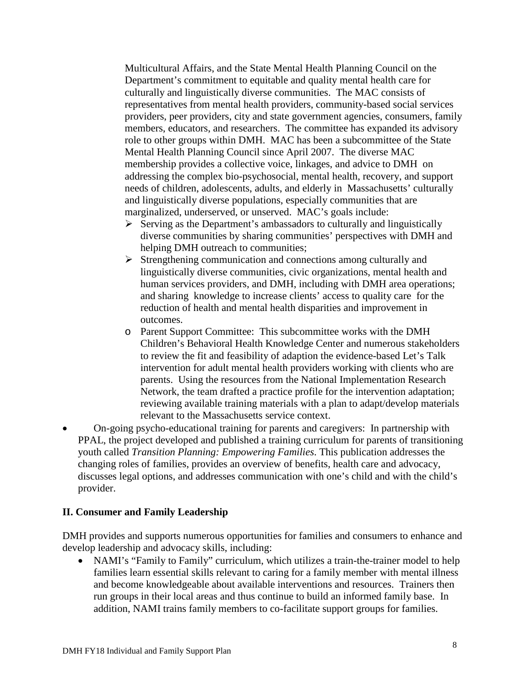Multicultural Affairs, and the State Mental Health Planning Council on the Department's commitment to equitable and quality mental health care for culturally and linguistically diverse communities. The MAC consists of representatives from mental health providers, community-based social services providers, peer providers, city and state government agencies, consumers, family members, educators, and researchers. The committee has expanded its advisory role to other groups within DMH. MAC has been a subcommittee of the State Mental Health Planning Council since April 2007. The diverse MAC membership provides a collective voice, linkages, and advice to DMH on addressing the complex bio-psychosocial, mental health, recovery, and support needs of children, adolescents, adults, and elderly in Massachusetts' culturally and linguistically diverse populations, especially communities that are marginalized, underserved, or unserved. MAC's goals include:

- $\triangleright$  Serving as the Department's ambassadors to culturally and linguistically diverse communities by sharing communities' perspectives with DMH and helping DMH outreach to communities;
- $\triangleright$  Strengthening communication and connections among culturally and linguistically diverse communities, civic organizations, mental health and human services providers, and DMH, including with DMH area operations; and sharing knowledge to increase clients' access to quality care for the reduction of health and mental health disparities and improvement in outcomes.
- o Parent Support Committee: This subcommittee works with the DMH Children's Behavioral Health Knowledge Center and numerous stakeholders to review the fit and feasibility of adaption the evidence-based Let's Talk intervention for adult mental health providers working with clients who are parents. Using the resources from the National Implementation Research Network, the team drafted a practice profile for the intervention adaptation; reviewing available training materials with a plan to adapt/develop materials relevant to the Massachusetts service context.
- On-going psycho-educational training for parents and caregivers: In partnership with PPAL, the project developed and published a training curriculum for parents of transitioning youth called *Transition Planning: Empowering Families*. This publication addresses the changing roles of families, provides an overview of benefits, health care and advocacy, discusses legal options, and addresses communication with one's child and with the child's provider.

## **II. Consumer and Family Leadership**

DMH provides and supports numerous opportunities for families and consumers to enhance and develop leadership and advocacy skills, including:

• NAMI's "Family to Family" curriculum, which utilizes a train-the-trainer model to help families learn essential skills relevant to caring for a family member with mental illness and become knowledgeable about available interventions and resources. Trainers then run groups in their local areas and thus continue to build an informed family base. In addition, NAMI trains family members to co-facilitate support groups for families.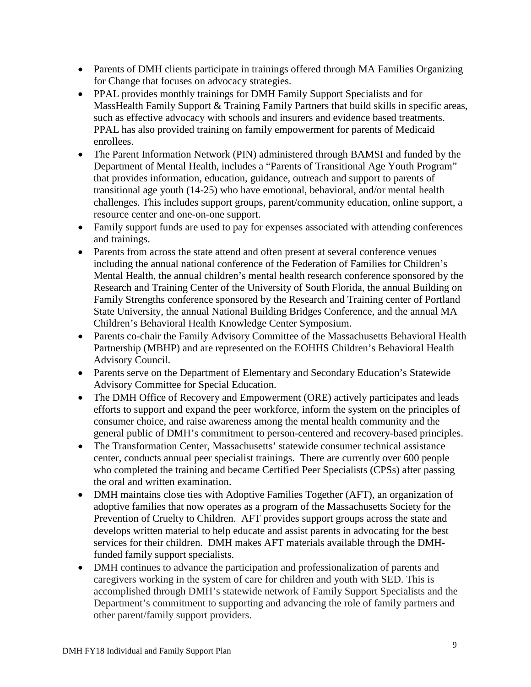- Parents of DMH clients participate in trainings offered through MA Families Organizing for Change that focuses on advocacy strategies.
- PPAL provides monthly trainings for DMH Family Support Specialists and for MassHealth Family Support & Training Family Partners that build skills in specific areas, such as effective advocacy with schools and insurers and evidence based treatments. PPAL has also provided training on family empowerment for parents of Medicaid enrollees.
- The Parent Information Network (PIN) administered through BAMSI and funded by the Department of Mental Health, includes a "Parents of Transitional Age Youth Program" that provides information, education, guidance, outreach and support to parents of transitional age youth (14-25) who have emotional, behavioral, and/or mental health challenges. This includes support groups, parent/community education, online support, a resource center and one-on-one support.
- Family support funds are used to pay for expenses associated with attending conferences and trainings.
- Parents from across the state attend and often present at several conference venues including the annual national conference of the Federation of Families for Children's Mental Health, the annual children's mental health research conference sponsored by the Research and Training Center of the University of South Florida, the annual Building on Family Strengths conference sponsored by the Research and Training center of Portland State University, the annual National Building Bridges Conference, and the annual MA Children's Behavioral Health Knowledge Center Symposium.
- Parents co-chair the Family Advisory Committee of the Massachusetts Behavioral Health Partnership (MBHP) and are represented on the EOHHS Children's Behavioral Health Advisory Council.
- Parents serve on the Department of Elementary and Secondary Education's Statewide Advisory Committee for Special Education.
- The DMH Office of Recovery and Empowerment (ORE) actively participates and leads efforts to support and expand the peer workforce, inform the system on the principles of consumer choice, and raise awareness among the mental health community and the general public of DMH's commitment to person-centered and recovery-based principles.
- The Transformation Center, Massachusetts' statewide consumer technical assistance center, conducts annual peer specialist trainings. There are currently over 600 people who completed the training and became Certified Peer Specialists (CPSs) after passing the oral and written examination.
- DMH maintains close ties with Adoptive Families Together (AFT), an organization of adoptive families that now operates as a program of the Massachusetts Society for the Prevention of Cruelty to Children. AFT provides support groups across the state and develops written material to help educate and assist parents in advocating for the best services for their children. DMH makes AFT materials available through the DMHfunded family support specialists.
- DMH continues to advance the participation and professionalization of parents and caregivers working in the system of care for children and youth with SED. This is accomplished through DMH's statewide network of Family Support Specialists and the Department's commitment to supporting and advancing the role of family partners and other parent/family support providers.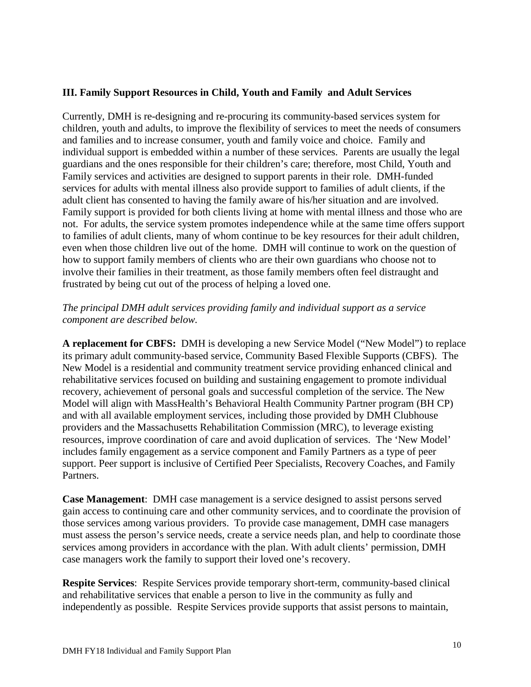#### **III. Family Support Resources in Child, Youth and Family and Adult Services**

Currently, DMH is re-designing and re-procuring its community-based services system for children, youth and adults, to improve the flexibility of services to meet the needs of consumers and families and to increase consumer, youth and family voice and choice. Family and individual support is embedded within a number of these services. Parents are usually the legal guardians and the ones responsible for their children's care; therefore, most Child, Youth and Family services and activities are designed to support parents in their role. DMH-funded services for adults with mental illness also provide support to families of adult clients, if the adult client has consented to having the family aware of his/her situation and are involved. Family support is provided for both clients living at home with mental illness and those who are not. For adults, the service system promotes independence while at the same time offers support to families of adult clients, many of whom continue to be key resources for their adult children, even when those children live out of the home. DMH will continue to work on the question of how to support family members of clients who are their own guardians who choose not to involve their families in their treatment, as those family members often feel distraught and frustrated by being cut out of the process of helping a loved one.

#### *The principal DMH adult services providing family and individual support as a service component are described below.*

**A replacement for CBFS:** DMH is developing a new Service Model ("New Model") to replace its primary adult community-based service, Community Based Flexible Supports (CBFS). The New Model is a residential and community treatment service providing enhanced clinical and rehabilitative services focused on building and sustaining engagement to promote individual recovery, achievement of personal goals and successful completion of the service. The New Model will align with MassHealth's Behavioral Health Community Partner program (BH CP) and with all available employment services, including those provided by DMH Clubhouse providers and the Massachusetts Rehabilitation Commission (MRC), to leverage existing resources, improve coordination of care and avoid duplication of services. The 'New Model' includes family engagement as a service component and Family Partners as a type of peer support. Peer support is inclusive of Certified Peer Specialists, Recovery Coaches, and Family Partners.

**Case Management**: DMH case management is a service designed to assist persons served gain access to continuing care and other community services, and to coordinate the provision of those services among various providers. To provide case management, DMH case managers must assess the person's service needs, create a service needs plan, and help to coordinate those services among providers in accordance with the plan. With adult clients' permission, DMH case managers work the family to support their loved one's recovery.

**Respite Services**: Respite Services provide temporary short-term, community-based clinical and rehabilitative services that enable a person to live in the community as fully and independently as possible. Respite Services provide supports that assist persons to maintain,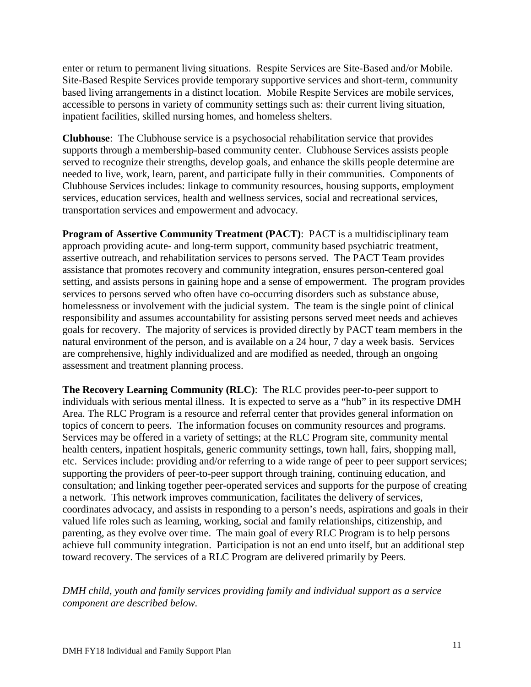enter or return to permanent living situations. Respite Services are Site-Based and/or Mobile. Site-Based Respite Services provide temporary supportive services and short-term, community based living arrangements in a distinct location. Mobile Respite Services are mobile services, accessible to persons in variety of community settings such as: their current living situation, inpatient facilities, skilled nursing homes, and homeless shelters.

**Clubhouse**: The Clubhouse service is a psychosocial rehabilitation service that provides supports through a membership-based community center. Clubhouse Services assists people served to recognize their strengths, develop goals, and enhance the skills people determine are needed to live, work, learn, parent, and participate fully in their communities. Components of Clubhouse Services includes: linkage to community resources, housing supports, employment services, education services, health and wellness services, social and recreational services, transportation services and empowerment and advocacy.

**Program of Assertive Community Treatment (PACT):** PACT is a multidisciplinary team approach providing acute- and long-term support, community based psychiatric treatment, assertive outreach, and rehabilitation services to persons served. The PACT Team provides assistance that promotes recovery and community integration, ensures person-centered goal setting, and assists persons in gaining hope and a sense of empowerment. The program provides services to persons served who often have co-occurring disorders such as substance abuse, homelessness or involvement with the judicial system. The team is the single point of clinical responsibility and assumes accountability for assisting persons served meet needs and achieves goals for recovery. The majority of services is provided directly by PACT team members in the natural environment of the person, and is available on a 24 hour, 7 day a week basis. Services are comprehensive, highly individualized and are modified as needed, through an ongoing assessment and treatment planning process.

**The Recovery Learning Community (RLC)**: The RLC provides peer-to-peer support to individuals with serious mental illness. It is expected to serve as a "hub" in its respective DMH Area. The RLC Program is a resource and referral center that provides general information on topics of concern to peers. The information focuses on community resources and programs. Services may be offered in a variety of settings; at the RLC Program site, community mental health centers, inpatient hospitals, generic community settings, town hall, fairs, shopping mall, etc. Services include: providing and/or referring to a wide range of peer to peer support services; supporting the providers of peer-to-peer support through training, continuing education, and consultation; and linking together peer-operated services and supports for the purpose of creating a network. This network improves communication, facilitates the delivery of services, coordinates advocacy, and assists in responding to a person's needs, aspirations and goals in their valued life roles such as learning, working, social and family relationships, citizenship, and parenting, as they evolve over time. The main goal of every RLC Program is to help persons achieve full community integration. Participation is not an end unto itself, but an additional step toward recovery. The services of a RLC Program are delivered primarily by Peers.

*DMH child, youth and family services providing family and individual support as a service component are described below.*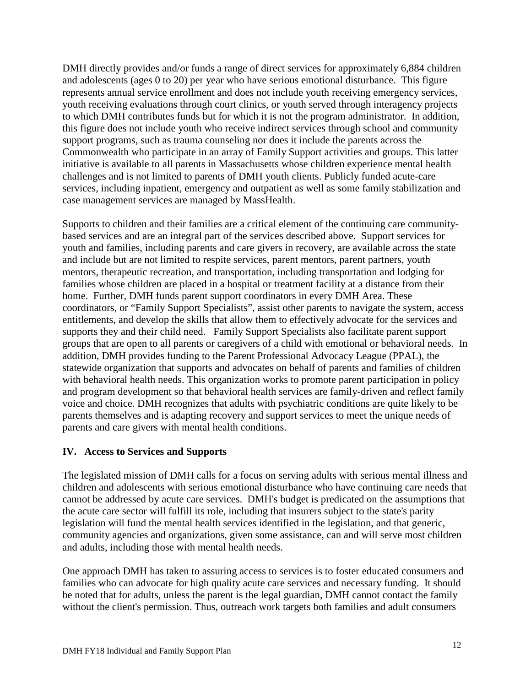DMH directly provides and/or funds a range of direct services for approximately 6,884 children and adolescents (ages 0 to 20) per year who have serious emotional disturbance. This figure represents annual service enrollment and does not include youth receiving emergency services, youth receiving evaluations through court clinics, or youth served through interagency projects to which DMH contributes funds but for which it is not the program administrator. In addition, this figure does not include youth who receive indirect services through school and community support programs, such as trauma counseling nor does it include the parents across the Commonwealth who participate in an array of Family Support activities and groups. This latter initiative is available to all parents in Massachusetts whose children experience mental health challenges and is not limited to parents of DMH youth clients. Publicly funded acute-care services, including inpatient, emergency and outpatient as well as some family stabilization and case management services are managed by MassHealth.

Supports to children and their families are a critical element of the continuing care communitybased services and are an integral part of the services described above. Support services for youth and families, including parents and care givers in recovery, are available across the state and include but are not limited to respite services, parent mentors, parent partners, youth mentors, therapeutic recreation, and transportation, including transportation and lodging for families whose children are placed in a hospital or treatment facility at a distance from their home. Further, DMH funds parent support coordinators in every DMH Area. These coordinators, or "Family Support Specialists", assist other parents to navigate the system, access entitlements, and develop the skills that allow them to effectively advocate for the services and supports they and their child need. Family Support Specialists also facilitate parent support groups that are open to all parents or caregivers of a child with emotional or behavioral needs. In addition, DMH provides funding to the Parent Professional Advocacy League (PPAL), the statewide organization that supports and advocates on behalf of parents and families of children with behavioral health needs. This organization works to promote parent participation in policy and program development so that behavioral health services are family-driven and reflect family voice and choice. DMH recognizes that adults with psychiatric conditions are quite likely to be parents themselves and is adapting recovery and support services to meet the unique needs of parents and care givers with mental health conditions.

## **IV. Access to Services and Supports**

The legislated mission of DMH calls for a focus on serving adults with serious mental illness and children and adolescents with serious emotional disturbance who have continuing care needs that cannot be addressed by acute care services. DMH's budget is predicated on the assumptions that the acute care sector will fulfill its role, including that insurers subject to the state's parity legislation will fund the mental health services identified in the legislation, and that generic, community agencies and organizations, given some assistance, can and will serve most children and adults, including those with mental health needs.

One approach DMH has taken to assuring access to services is to foster educated consumers and families who can advocate for high quality acute care services and necessary funding. It should be noted that for adults, unless the parent is the legal guardian, DMH cannot contact the family without the client's permission. Thus, outreach work targets both families and adult consumers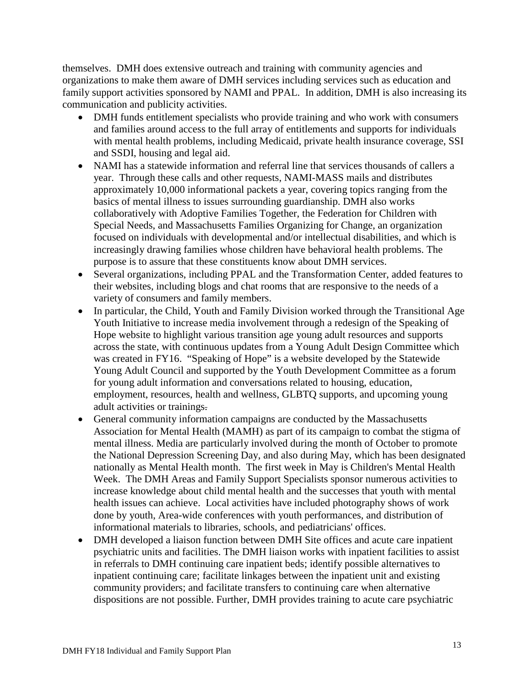themselves. DMH does extensive outreach and training with community agencies and organizations to make them aware of DMH services including services such as education and family support activities sponsored by NAMI and PPAL. In addition, DMH is also increasing its communication and publicity activities.

- DMH funds entitlement specialists who provide training and who work with consumers and families around access to the full array of entitlements and supports for individuals with mental health problems, including Medicaid, private health insurance coverage, SSI and SSDI, housing and legal aid.
- NAMI has a statewide information and referral line that services thousands of callers a year. Through these calls and other requests, NAMI-MASS mails and distributes approximately 10,000 informational packets a year, covering topics ranging from the basics of mental illness to issues surrounding guardianship. DMH also works collaboratively with Adoptive Families Together, the Federation for Children with Special Needs, and Massachusetts Families Organizing for Change, an organization focused on individuals with developmental and/or intellectual disabilities, and which is increasingly drawing families whose children have behavioral health problems. The purpose is to assure that these constituents know about DMH services.
- Several organizations, including PPAL and the Transformation Center, added features to their websites, including blogs and chat rooms that are responsive to the needs of a variety of consumers and family members.
- In particular, the Child, Youth and Family Division worked through the Transitional Age Youth Initiative to increase media involvement through a redesign of the Speaking of Hope website to highlight various transition age young adult resources and supports across the state, with continuous updates from a Young Adult Design Committee which was created in FY16. "Speaking of Hope" is a website developed by the Statewide Young Adult Council and supported by the Youth Development Committee as a forum for young adult information and conversations related to housing, education, employment, resources, health and wellness, GLBTQ supports, and upcoming young adult activities or trainings.
- General community information campaigns are conducted by the Massachusetts Association for Mental Health (MAMH) as part of its campaign to combat the stigma of mental illness. Media are particularly involved during the month of October to promote the National Depression Screening Day, and also during May, which has been designated nationally as Mental Health month. The first week in May is Children's Mental Health Week. The DMH Areas and Family Support Specialists sponsor numerous activities to increase knowledge about child mental health and the successes that youth with mental health issues can achieve. Local activities have included photography shows of work done by youth, Area-wide conferences with youth performances, and distribution of informational materials to libraries, schools, and pediatricians' offices.
- DMH developed a liaison function between DMH Site offices and acute care inpatient psychiatric units and facilities. The DMH liaison works with inpatient facilities to assist in referrals to DMH continuing care inpatient beds; identify possible alternatives to inpatient continuing care; facilitate linkages between the inpatient unit and existing community providers; and facilitate transfers to continuing care when alternative dispositions are not possible. Further, DMH provides training to acute care psychiatric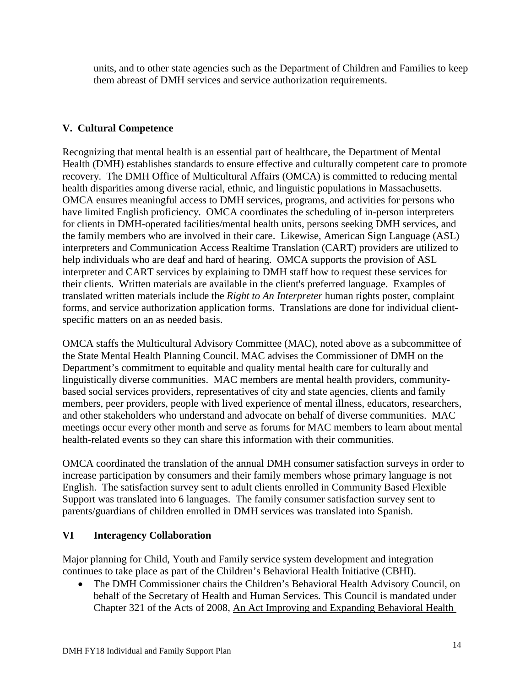units, and to other state agencies such as the Department of Children and Families to keep them abreast of DMH services and service authorization requirements.

# **V. Cultural Competence**

Recognizing that mental health is an essential part of healthcare, the Department of Mental Health (DMH) establishes standards to ensure effective and culturally competent care to promote recovery. The DMH Office of Multicultural Affairs (OMCA) is committed to reducing mental health disparities among diverse racial, ethnic, and linguistic populations in Massachusetts. OMCA ensures meaningful access to DMH services, programs, and activities for persons who have limited English proficiency. OMCA coordinates the scheduling of in-person interpreters for clients in DMH-operated facilities/mental health units, persons seeking DMH services, and the family members who are involved in their care. Likewise, American Sign Language (ASL) interpreters and Communication Access Realtime Translation (CART) providers are utilized to help individuals who are deaf and hard of hearing. OMCA supports the provision of ASL interpreter and CART services by explaining to DMH staff how to request these services for their clients. Written materials are available in the client's preferred language. Examples of translated written materials include the *Right to An Interpreter* human rights poster, complaint forms, and service authorization application forms. Translations are done for individual clientspecific matters on an as needed basis.

OMCA staffs the Multicultural Advisory Committee (MAC), noted above as a subcommittee of the State Mental Health Planning Council. MAC advises the Commissioner of DMH on the Department's commitment to equitable and quality mental health care for culturally and linguistically diverse communities. MAC members are mental health providers, communitybased social services providers, representatives of city and state agencies, clients and family members, peer providers, people with lived experience of mental illness, educators, researchers, and other stakeholders who understand and advocate on behalf of diverse communities. MAC meetings occur every other month and serve as forums for MAC members to learn about mental health-related events so they can share this information with their communities.

OMCA coordinated the translation of the annual DMH consumer satisfaction surveys in order to increase participation by consumers and their family members whose primary language is not English. The satisfaction survey sent to adult clients enrolled in Community Based Flexible Support was translated into 6 languages. The family consumer satisfaction survey sent to parents/guardians of children enrolled in DMH services was translated into Spanish.

## **VI Interagency Collaboration**

Major planning for Child, Youth and Family service system development and integration continues to take place as part of the Children's Behavioral Health Initiative (CBHI).

• The DMH Commissioner chairs the Children's Behavioral Health Advisory Council, on behalf of the Secretary of Health and Human Services. This Council is mandated under Chapter 321 of the Acts of 2008, An Act Improving and Expanding Behavioral Health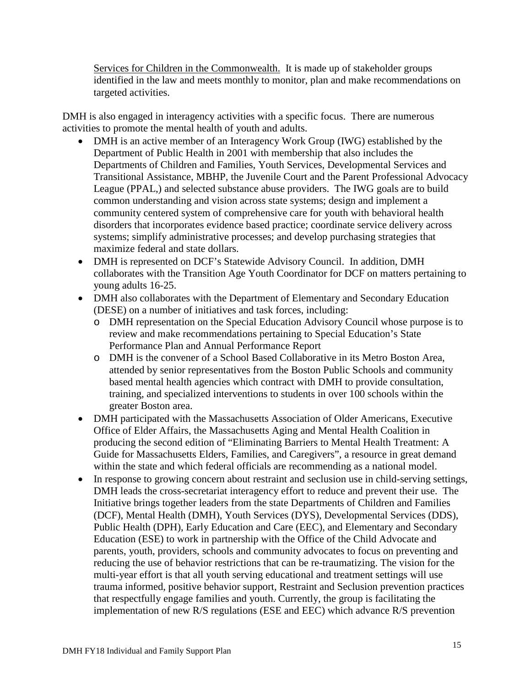Services for Children in the Commonwealth. It is made up of stakeholder groups identified in the law and meets monthly to monitor, plan and make recommendations on targeted activities.

DMH is also engaged in interagency activities with a specific focus. There are numerous activities to promote the mental health of youth and adults.

- DMH is an active member of an Interagency Work Group (IWG) established by the Department of Public Health in 2001 with membership that also includes the Departments of Children and Families, Youth Services, Developmental Services and Transitional Assistance, MBHP, the Juvenile Court and the Parent Professional Advocacy League (PPAL,) and selected substance abuse providers. The IWG goals are to build common understanding and vision across state systems; design and implement a community centered system of comprehensive care for youth with behavioral health disorders that incorporates evidence based practice; coordinate service delivery across systems; simplify administrative processes; and develop purchasing strategies that maximize federal and state dollars.
- DMH is represented on DCF's Statewide Advisory Council. In addition, DMH collaborates with the Transition Age Youth Coordinator for DCF on matters pertaining to young adults 16-25.
- DMH also collaborates with the Department of Elementary and Secondary Education (DESE) on a number of initiatives and task forces, including:
	- o DMH representation on the Special Education Advisory Council whose purpose is to review and make recommendations pertaining to Special Education's State Performance Plan and Annual Performance Report
	- o DMH is the convener of a School Based Collaborative in its Metro Boston Area, attended by senior representatives from the Boston Public Schools and community based mental health agencies which contract with DMH to provide consultation, training, and specialized interventions to students in over 100 schools within the greater Boston area.
- DMH participated with the Massachusetts Association of Older Americans, Executive Office of Elder Affairs, the Massachusetts Aging and Mental Health Coalition in producing the second edition of "Eliminating Barriers to Mental Health Treatment: A Guide for Massachusetts Elders, Families, and Caregivers", a resource in great demand within the state and which federal officials are recommending as a national model.
- In response to growing concern about restraint and seclusion use in child-serving settings, DMH leads the cross-secretariat interagency effort to reduce and prevent their use. The Initiative brings together leaders from the state Departments of Children and Families (DCF), Mental Health (DMH), Youth Services (DYS), Developmental Services (DDS), Public Health (DPH), Early Education and Care (EEC), and Elementary and Secondary Education (ESE) to work in partnership with the Office of the Child Advocate and parents, youth, providers, schools and community advocates to focus on preventing and reducing the use of behavior restrictions that can be re-traumatizing. The vision for the multi-year effort is that all youth serving educational and treatment settings will use trauma informed, positive behavior support, Restraint and Seclusion prevention practices that respectfully engage families and youth. Currently, the group is facilitating the implementation of new R/S regulations (ESE and EEC) which advance R/S prevention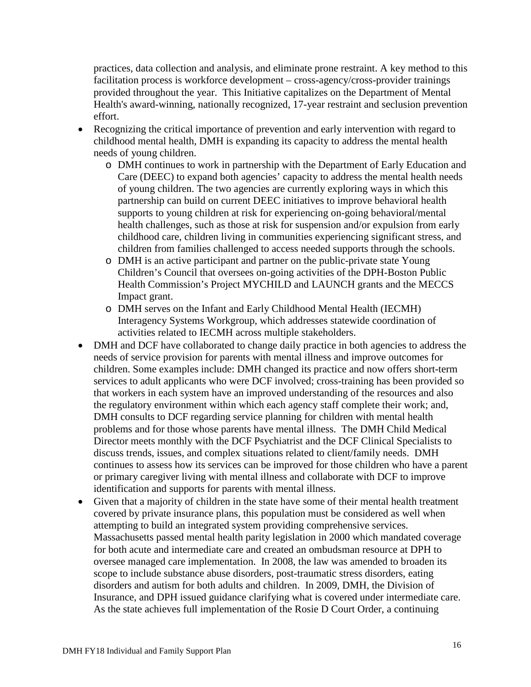practices, data collection and analysis, and eliminate prone restraint. A key method to this facilitation process is workforce development – cross-agency/cross-provider trainings provided throughout the year. This Initiative capitalizes on the Department of Mental Health's award-winning, nationally recognized, 17-year restraint and seclusion prevention effort.

- Recognizing the critical importance of prevention and early intervention with regard to childhood mental health, DMH is expanding its capacity to address the mental health needs of young children.
	- o DMH continues to work in partnership with the Department of Early Education and Care (DEEC) to expand both agencies' capacity to address the mental health needs of young children. The two agencies are currently exploring ways in which this partnership can build on current DEEC initiatives to improve behavioral health supports to young children at risk for experiencing on-going behavioral/mental health challenges, such as those at risk for suspension and/or expulsion from early childhood care, children living in communities experiencing significant stress, and children from families challenged to access needed supports through the schools.
	- o DMH is an active participant and partner on the public-private state Young Children's Council that oversees on-going activities of the DPH-Boston Public Health Commission's Project MYCHILD and LAUNCH grants and the MECCS Impact grant.
	- o DMH serves on the Infant and Early Childhood Mental Health (IECMH) Interagency Systems Workgroup, which addresses statewide coordination of activities related to IECMH across multiple stakeholders.
- DMH and DCF have collaborated to change daily practice in both agencies to address the needs of service provision for parents with mental illness and improve outcomes for children. Some examples include: DMH changed its practice and now offers short-term services to adult applicants who were DCF involved; cross-training has been provided so that workers in each system have an improved understanding of the resources and also the regulatory environment within which each agency staff complete their work; and, DMH consults to DCF regarding service planning for children with mental health problems and for those whose parents have mental illness. The DMH Child Medical Director meets monthly with the DCF Psychiatrist and the DCF Clinical Specialists to discuss trends, issues, and complex situations related to client/family needs. DMH continues to assess how its services can be improved for those children who have a parent or primary caregiver living with mental illness and collaborate with DCF to improve identification and supports for parents with mental illness.
- Given that a majority of children in the state have some of their mental health treatment covered by private insurance plans, this population must be considered as well when attempting to build an integrated system providing comprehensive services. Massachusetts passed mental health parity legislation in 2000 which mandated coverage for both acute and intermediate care and created an ombudsman resource at DPH to oversee managed care implementation. In 2008, the law was amended to broaden its scope to include substance abuse disorders, post-traumatic stress disorders, eating disorders and autism for both adults and children. In 2009, DMH, the Division of Insurance, and DPH issued guidance clarifying what is covered under intermediate care. As the state achieves full implementation of the Rosie D Court Order, a continuing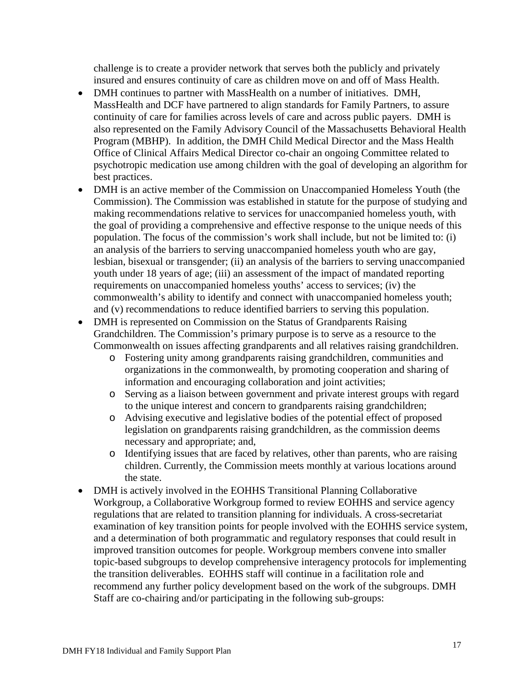challenge is to create a provider network that serves both the publicly and privately insured and ensures continuity of care as children move on and off of Mass Health.

- DMH continues to partner with MassHealth on a number of initiatives. DMH, MassHealth and DCF have partnered to align standards for Family Partners, to assure continuity of care for families across levels of care and across public payers. DMH is also represented on the Family Advisory Council of the Massachusetts Behavioral Health Program (MBHP). In addition, the DMH Child Medical Director and the Mass Health Office of Clinical Affairs Medical Director co-chair an ongoing Committee related to psychotropic medication use among children with the goal of developing an algorithm for best practices.
- DMH is an active member of the Commission on Unaccompanied Homeless Youth (the Commission). The Commission was established in statute for the purpose of studying and making recommendations relative to services for unaccompanied homeless youth, with the goal of providing a comprehensive and effective response to the unique needs of this population. The focus of the commission's work shall include, but not be limited to: (i) an analysis of the barriers to serving unaccompanied homeless youth who are gay, lesbian, bisexual or transgender; (ii) an analysis of the barriers to serving unaccompanied youth under 18 years of age; (iii) an assessment of the impact of mandated reporting requirements on unaccompanied homeless youths' access to services; (iv) the commonwealth's ability to identify and connect with unaccompanied homeless youth; and (v) recommendations to reduce identified barriers to serving this population.
- DMH is represented on Commission on the Status of Grandparents Raising Grandchildren. The Commission's primary purpose is to serve as a resource to the Commonwealth on issues affecting grandparents and all relatives raising grandchildren.
	- o Fostering unity among grandparents raising grandchildren, communities and organizations in the commonwealth, by promoting cooperation and sharing of information and encouraging collaboration and joint activities;
	- o Serving as a liaison between government and private interest groups with regard to the unique interest and concern to grandparents raising grandchildren;
	- o Advising executive and legislative bodies of the potential effect of proposed legislation on grandparents raising grandchildren, as the commission deems necessary and appropriate; and,
	- o Identifying issues that are faced by relatives, other than parents, who are raising children. Currently, the Commission meets monthly at various locations around the state.
- DMH is actively involved in the EOHHS Transitional Planning Collaborative Workgroup, a Collaborative Workgroup formed to review EOHHS and service agency regulations that are related to transition planning for individuals. A cross-secretariat examination of key transition points for people involved with the EOHHS service system, and a determination of both programmatic and regulatory responses that could result in improved transition outcomes for people. Workgroup members convene into smaller topic-based subgroups to develop comprehensive interagency protocols for implementing the transition deliverables. EOHHS staff will continue in a facilitation role and recommend any further policy development based on the work of the subgroups. DMH Staff are co-chairing and/or participating in the following sub-groups: